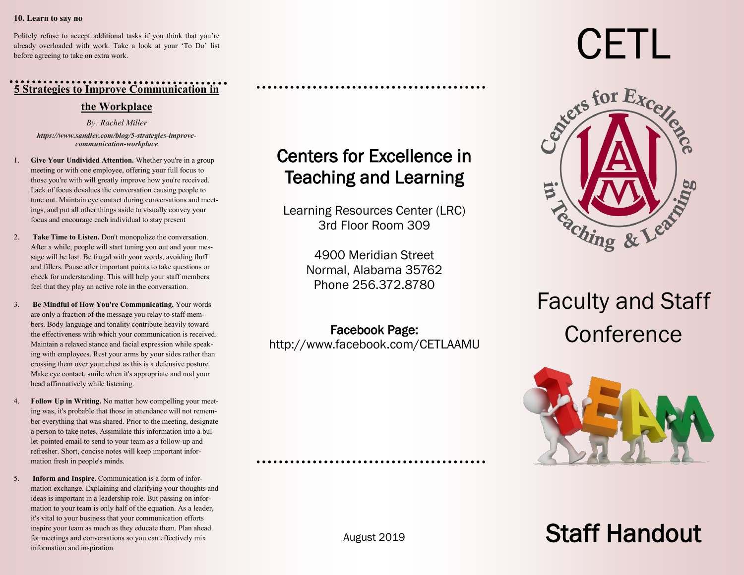#### **10. Learn to say no**

Politely refuse to accept additional tasks if you think that you're already overloaded with work. Take a look at your 'To Do' list before agreeing to take on extra work.

### **5 Strategies to Improve Communication in**

#### **the Workplace**

*By: Rachel Miller*

*https://www.sandler.com/blog/5-strategies-improvecommunication-workplace*

- 1. **Give Your Undivided Attention.** Whether you're in a group meeting or with one employee, [offering your full focus](http://www.inc.com/kevin-daum/8-ways-to-improve-your-communication-right-now.html) to those you're with will greatly improve how you're received. Lack of focus devalues the conversation causing people to tune out. Maintain eye contact during conversations and meetings, and put all other things aside to visually convey your focus and encourage each individual to stay present
- 2. **Take Time to Listen.** Don't monopolize the conversation. After a while, people will start tuning you out and your message will be lost. Be frugal with your words, avoiding fluff and fillers. Pause after important points to take questions or check for understanding. This will help your staff members feel that they play an active role in the conversation.
- 3. **Be Mindful of How You're Communicating.** Your words are only a fraction of the message you relay to staff members. [Body language and tonality contribute heavily](https://www.sandler.com/blog/increase-your-communications-effectiveness-93) toward the effectiveness with which your communication is received. Maintain a relaxed stance and facial expression while speaking with employees. Rest your arms by your sides rather than crossing them over your chest as this is a defensive posture. Make eye contact, smile when it's appropriate and nod your head affirmatively while listening.
- 4. **Follow Up in Writing.** No matter how compelling your meeting was, it's probable that those in attendance will not remember everything that was shared. Prior to the meeting, designate a person to take notes. Assimilate this information into a bullet-pointed email to send to your team as a follow-up and refresher. Short, concise notes will keep important information fresh in people's minds.
- 5. **Inform and Inspire.** Communication is a form of information exchange. Explaining and clarifying your thoughts and ideas is important in a leadership role. But passing on information to your team is only half of the equation. As a leader, it's vital to your business that your communication efforts inspire your team as much as they educate them. Plan ahead for meetings and conversations so you can effectively mix information and inspiration.

# Centers for Excellence in Teaching and Learning

Learning Resources Center (LRC) 3rd Floor Room 309

> 4900 Meridian Street Normal, Alabama 35762 Phone 256.372.8780

Facebook Page: <http://www.facebook.com/CETLAAMU>

# CETL



# Faculty and Staff **Conference**



# Staff Handout

August 2019